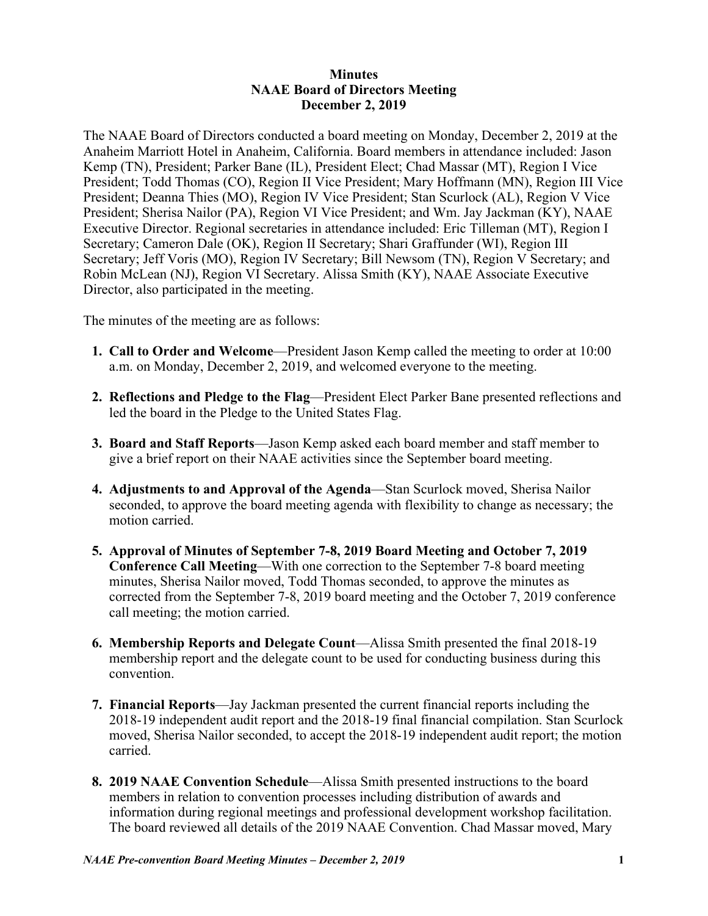## **Minutes NAAE Board of Directors Meeting December 2, 2019**

The NAAE Board of Directors conducted a board meeting on Monday, December 2, 2019 at the Anaheim Marriott Hotel in Anaheim, California. Board members in attendance included: Jason Kemp (TN), President; Parker Bane (IL), President Elect; Chad Massar (MT), Region I Vice President; Todd Thomas (CO), Region II Vice President; Mary Hoffmann (MN), Region III Vice President; Deanna Thies (MO), Region IV Vice President; Stan Scurlock (AL), Region V Vice President; Sherisa Nailor (PA), Region VI Vice President; and Wm. Jay Jackman (KY), NAAE Executive Director. Regional secretaries in attendance included: Eric Tilleman (MT), Region I Secretary; Cameron Dale (OK), Region II Secretary; Shari Graffunder (WI), Region III Secretary; Jeff Voris (MO), Region IV Secretary; Bill Newsom (TN), Region V Secretary; and Robin McLean (NJ), Region VI Secretary. Alissa Smith (KY), NAAE Associate Executive Director, also participated in the meeting.

The minutes of the meeting are as follows:

- **1. Call to Order and Welcome**—President Jason Kemp called the meeting to order at 10:00 a.m. on Monday, December 2, 2019, and welcomed everyone to the meeting.
- **2. Reflections and Pledge to the Flag**—President Elect Parker Bane presented reflections and led the board in the Pledge to the United States Flag.
- **3. Board and Staff Reports**—Jason Kemp asked each board member and staff member to give a brief report on their NAAE activities since the September board meeting.
- **4. Adjustments to and Approval of the Agenda**—Stan Scurlock moved, Sherisa Nailor seconded, to approve the board meeting agenda with flexibility to change as necessary; the motion carried.
- **5. Approval of Minutes of September 7-8, 2019 Board Meeting and October 7, 2019 Conference Call Meeting**—With one correction to the September 7-8 board meeting minutes, Sherisa Nailor moved, Todd Thomas seconded, to approve the minutes as corrected from the September 7-8, 2019 board meeting and the October 7, 2019 conference call meeting; the motion carried.
- **6. Membership Reports and Delegate Count**—Alissa Smith presented the final 2018-19 membership report and the delegate count to be used for conducting business during this convention.
- **7. Financial Reports**—Jay Jackman presented the current financial reports including the 2018-19 independent audit report and the 2018-19 final financial compilation. Stan Scurlock moved, Sherisa Nailor seconded, to accept the 2018-19 independent audit report; the motion carried.
- **8. 2019 NAAE Convention Schedule**—Alissa Smith presented instructions to the board members in relation to convention processes including distribution of awards and information during regional meetings and professional development workshop facilitation. The board reviewed all details of the 2019 NAAE Convention. Chad Massar moved, Mary